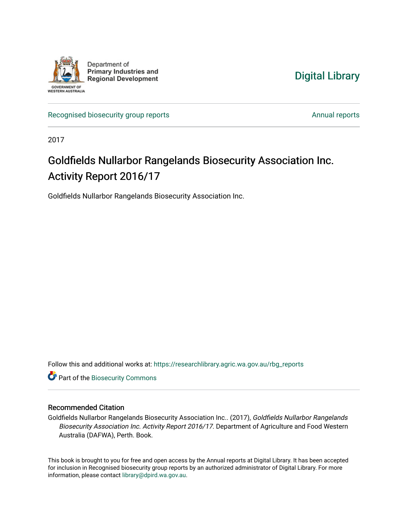

[Digital Library](https://researchlibrary.agric.wa.gov.au/) 

[Recognised biosecurity group reports](https://researchlibrary.agric.wa.gov.au/rbg_reports) [Annual reports](https://researchlibrary.agric.wa.gov.au/ar) Annual reports

2017

# Goldfields Nullarbor Rangelands Biosecurity Association Inc. Activity Report 2016/17

Goldfields Nullarbor Rangelands Biosecurity Association Inc.

Follow this and additional works at: [https://researchlibrary.agric.wa.gov.au/rbg\\_reports](https://researchlibrary.agric.wa.gov.au/rbg_reports?utm_source=researchlibrary.agric.wa.gov.au%2Frbg_reports%2F31&utm_medium=PDF&utm_campaign=PDFCoverPages) 

**Part of the [Biosecurity Commons](http://network.bepress.com/hgg/discipline/1352?utm_source=researchlibrary.agric.wa.gov.au%2Frbg_reports%2F31&utm_medium=PDF&utm_campaign=PDFCoverPages)** 

#### Recommended Citation

Goldfields Nullarbor Rangelands Biosecurity Association Inc.. (2017), Goldfields Nullarbor Rangelands Biosecurity Association Inc. Activity Report 2016/17. Department of Agriculture and Food Western Australia (DAFWA), Perth. Book.

This book is brought to you for free and open access by the Annual reports at Digital Library. It has been accepted for inclusion in Recognised biosecurity group reports by an authorized administrator of Digital Library. For more information, please contact [library@dpird.wa.gov.au](mailto:library@dpird.wa.gov.au).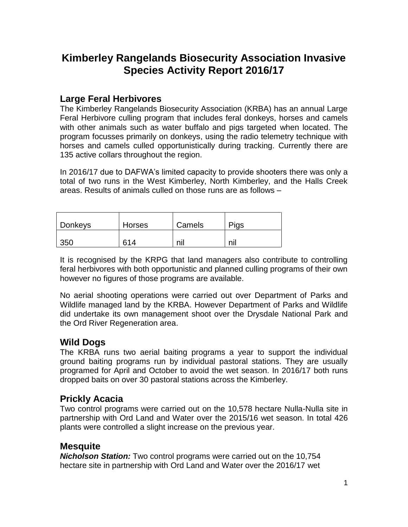## **Kimberley Rangelands Biosecurity Association Invasive Species Activity Report 2016/17**

#### **Large Feral Herbivores**

The Kimberley Rangelands Biosecurity Association (KRBA) has an annual Large Feral Herbivore culling program that includes feral donkeys, horses and camels with other animals such as water buffalo and pigs targeted when located. The program focusses primarily on donkeys, using the radio telemetry technique with horses and camels culled opportunistically during tracking. Currently there are 135 active collars throughout the region.

In 2016/17 due to DAFWA's limited capacity to provide shooters there was only a total of two runs in the West Kimberley, North Kimberley, and the Halls Creek areas. Results of animals culled on those runs are as follows –

| Donkeys | <b>Horses</b> | Camels | Pigs |
|---------|---------------|--------|------|
| 350     | 614           | ηiι    | nı   |

It is recognised by the KRPG that land managers also contribute to controlling feral herbivores with both opportunistic and planned culling programs of their own however no figures of those programs are available.

No aerial shooting operations were carried out over Department of Parks and Wildlife managed land by the KRBA. However Department of Parks and Wildlife did undertake its own management shoot over the Drysdale National Park and the Ord River Regeneration area.

#### **Wild Dogs**

The KRBA runs two aerial baiting programs a year to support the individual ground baiting programs run by individual pastoral stations. They are usually programed for April and October to avoid the wet season. In 2016/17 both runs dropped baits on over 30 pastoral stations across the Kimberley.

### **Prickly Acacia**

Two control programs were carried out on the 10,578 hectare Nulla-Nulla site in partnership with Ord Land and Water over the 2015/16 wet season. In total 426 plants were controlled a slight increase on the previous year.

#### **Mesquite**

*Nicholson Station:* Two control programs were carried out on the 10,754 hectare site in partnership with Ord Land and Water over the 2016/17 wet